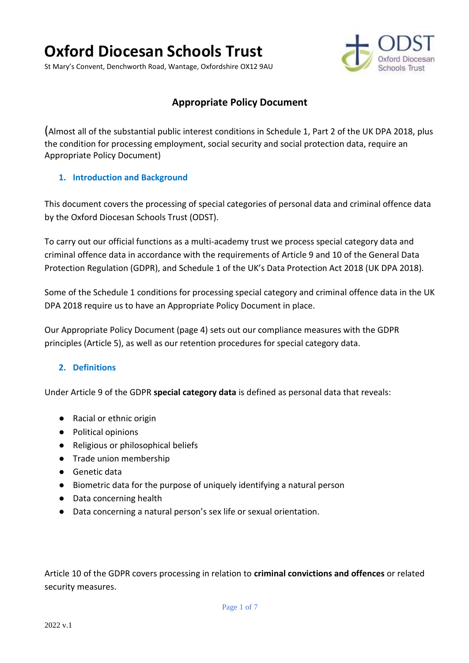# **Oxford Diocesan Schools Trust**

St Mary's Convent, Denchworth Road, Wantage, Oxfordshire OX12 9AU



# **Appropriate Policy Document**

(Almost all of the substantial public interest conditions in Schedule 1, Part 2 of the UK DPA 2018, plus the condition for processing employment, social security and social protection data, require an Appropriate Policy Document)

#### **1. Introduction and Background**

This document covers the processing of special categories of personal data and criminal offence data by the Oxford Diocesan Schools Trust (ODST).

To carry out our official functions as a multi-academy trust we process special category data and criminal offence data in accordance with the requirements of Article 9 and 10 of the General Data Protection Regulation (GDPR), and Schedule 1 of the UK's Data Protection Act 2018 (UK DPA 2018).

Some of the Schedule 1 conditions for processing special category and criminal offence data in the UK DPA 2018 require us to have an Appropriate Policy Document in place.

Our Appropriate Policy Document (page 4) sets out our compliance measures with the GDPR principles (Article 5), as well as our retention procedures for special category data.

# **2. Definitions**

Under Article 9 of the GDPR **special category data** is defined as personal data that reveals:

- Racial or ethnic origin
- Political opinions
- Religious or philosophical beliefs
- Trade union membership
- Genetic data
- Biometric data for the purpose of uniquely identifying a natural person
- Data concerning health
- Data concerning a natural person's sex life or sexual orientation.

Article 10 of the GDPR covers processing in relation to **criminal convictions and offences** or related security measures.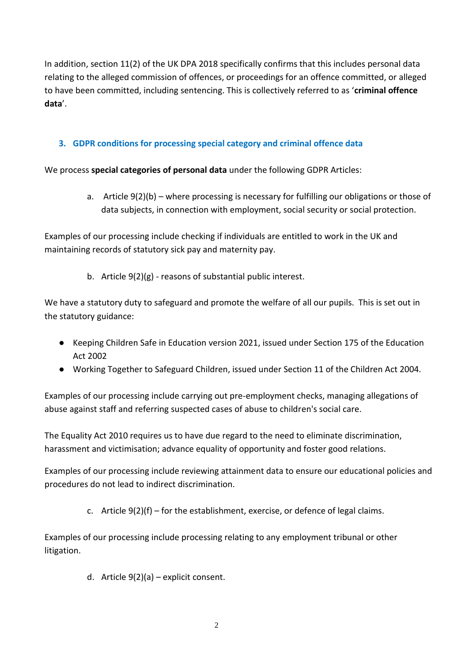In addition, section 11(2) of the UK DPA 2018 specifically confirms that this includes personal data relating to the alleged commission of offences, or proceedings for an offence committed, or alleged to have been committed, including sentencing. This is collectively referred to as '**criminal offence data**'.

# **3. GDPR conditions for processing special category and criminal offence data**

We process **special categories of personal data** under the following GDPR Articles:

a. Article 9(2)(b) – where processing is necessary for fulfilling our obligations or those of data subjects, in connection with employment, social security or social protection.

Examples of our processing include checking if individuals are entitled to work in the UK and maintaining records of statutory sick pay and maternity pay.

b. Article 9(2)(g) - reasons of substantial public interest.

We have a statutory duty to safeguard and promote the welfare of all our pupils. This is set out in the statutory guidance:

- Keeping Children Safe in Education version 2021, issued under Section 175 of the Education Act 2002
- Working Together to Safeguard Children, issued under Section 11 of the Children Act 2004.

Examples of our processing include carrying out pre-employment checks, managing allegations of abuse against staff and referring suspected cases of abuse to children's social care.

The Equality Act 2010 requires us to have due regard to the need to eliminate discrimination, harassment and victimisation; advance equality of opportunity and foster good relations.

Examples of our processing include reviewing attainment data to ensure our educational policies and procedures do not lead to indirect discrimination.

c. Article  $9(2)(f)$  – for the establishment, exercise, or defence of legal claims.

Examples of our processing include processing relating to any employment tribunal or other litigation.

d. Article 9(2)(a) – explicit consent.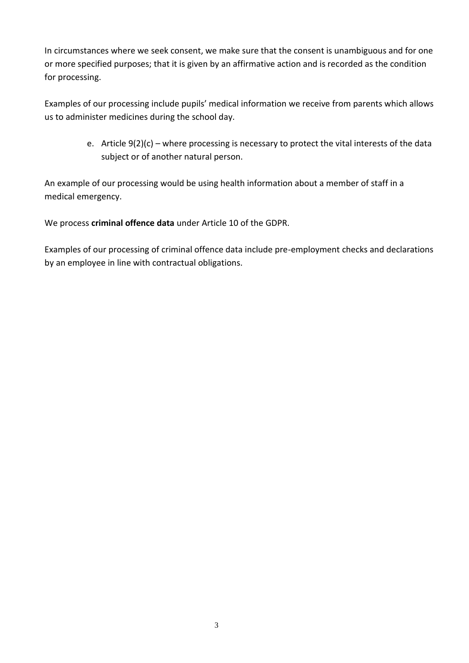In circumstances where we seek consent, we make sure that the consent is unambiguous and for one or more specified purposes; that it is given by an affirmative action and is recorded as the condition for processing.

Examples of our processing include pupils' medical information we receive from parents which allows us to administer medicines during the school day.

> e. Article 9(2)(c) – where processing is necessary to protect the vital interests of the data subject or of another natural person.

An example of our processing would be using health information about a member of staff in a medical emergency.

We process **criminal offence data** under Article 10 of the GDPR.

Examples of our processing of criminal offence data include pre-employment checks and declarations by an employee in line with contractual obligations.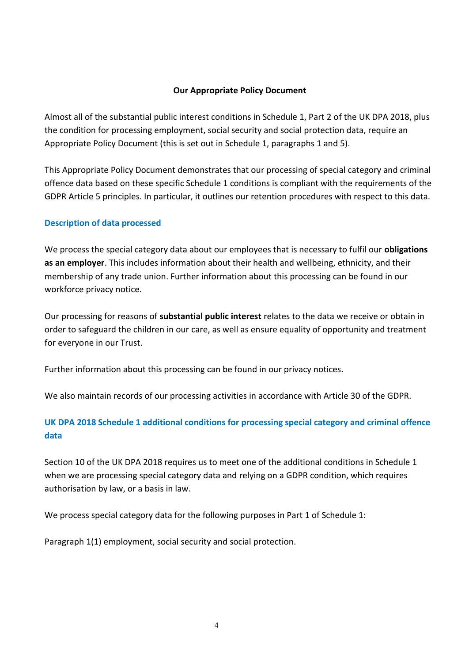#### **Our Appropriate Policy Document**

Almost all of the substantial public interest conditions in Schedule 1, Part 2 of the UK DPA 2018, plus the condition for processing employment, social security and social protection data, require an Appropriate Policy Document (this is set out in Schedule 1, paragraphs 1 and 5).

This Appropriate Policy Document demonstrates that our processing of special category and criminal offence data based on these specific Schedule 1 conditions is compliant with the requirements of the GDPR Article 5 principles. In particular, it outlines our retention procedures with respect to this data.

# **Description of data processed**

We process the special category data about our employees that is necessary to fulfil our **obligations as an employer**. This includes information about their health and wellbeing, ethnicity, and their membership of any trade union. Further information about this processing can be found in our workforce privacy notice.

Our processing for reasons of **substantial public interest** relates to the data we receive or obtain in order to safeguard the children in our care, as well as ensure equality of opportunity and treatment for everyone in our Trust.

Further information about this processing can be found in our privacy notices.

We also maintain records of our processing activities in accordance with Article 30 of the GDPR.

# **UK DPA 2018 Schedule 1 additional conditions for processing special category and criminal offence data**

Section 10 of the UK DPA 2018 requires us to meet one of the additional conditions in Schedule 1 when we are processing special category data and relying on a GDPR condition, which requires authorisation by law, or a basis in law.

We process special category data for the following purposes in Part 1 of Schedule 1:

Paragraph 1(1) employment, social security and social protection.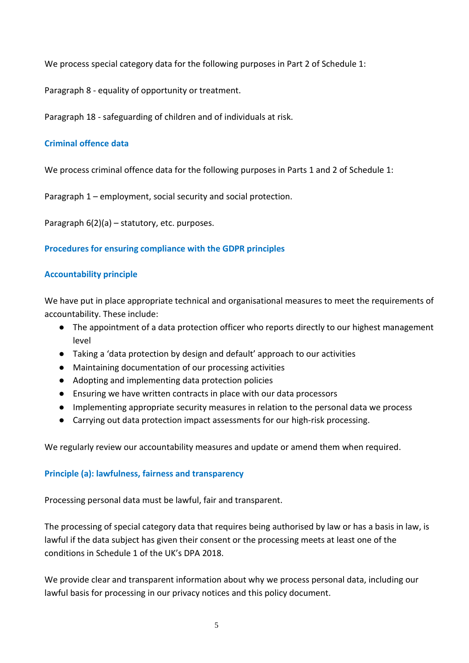We process special category data for the following purposes in Part 2 of Schedule 1:

Paragraph 8 - equality of opportunity or treatment.

Paragraph 18 - safeguarding of children and of individuals at risk.

# **Criminal offence data**

We process criminal offence data for the following purposes in Parts 1 and 2 of Schedule 1:

Paragraph 1 – employment, social security and social protection.

Paragraph 6(2)(a) – statutory, etc. purposes.

#### **Procedures for ensuring compliance with the GDPR principles**

# **Accountability principle**

We have put in place appropriate technical and organisational measures to meet the requirements of accountability. These include:

- The appointment of a data protection officer who reports directly to our highest management level
- Taking a 'data protection by design and default' approach to our activities
- Maintaining documentation of our processing activities
- Adopting and implementing data protection policies
- Ensuring we have written contracts in place with our data processors
- Implementing appropriate security measures in relation to the personal data we process
- Carrying out data protection impact assessments for our high-risk processing.

We regularly review our accountability measures and update or amend them when required.

#### **Principle (a): lawfulness, fairness and transparency**

Processing personal data must be lawful, fair and transparent.

The processing of special category data that requires being authorised by law or has a basis in law, is lawful if the data subject has given their consent or the processing meets at least one of the conditions in Schedule 1 of the UK's DPA 2018.

We provide clear and transparent information about why we process personal data, including our lawful basis for processing in our privacy notices and this policy document.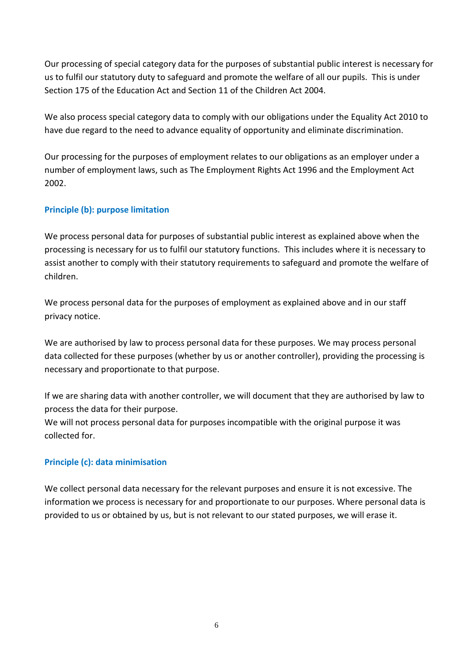Our processing of special category data for the purposes of substantial public interest is necessary for us to fulfil our statutory duty to safeguard and promote the welfare of all our pupils. This is under Section 175 of the Education Act and Section 11 of the Children Act 2004.

We also process special category data to comply with our obligations under the Equality Act 2010 to have due regard to the need to advance equality of opportunity and eliminate discrimination.

Our processing for the purposes of employment relates to our obligations as an employer under a number of employment laws, such as The Employment Rights Act 1996 and the Employment Act 2002.

# **Principle (b): purpose limitation**

We process personal data for purposes of substantial public interest as explained above when the processing is necessary for us to fulfil our statutory functions. This includes where it is necessary to assist another to comply with their statutory requirements to safeguard and promote the welfare of children.

We process personal data for the purposes of employment as explained above and in our staff privacy notice.

We are authorised by law to process personal data for these purposes. We may process personal data collected for these purposes (whether by us or another controller), providing the processing is necessary and proportionate to that purpose.

If we are sharing data with another controller, we will document that they are authorised by law to process the data for their purpose.

We will not process personal data for purposes incompatible with the original purpose it was collected for.

# **Principle (c): data minimisation**

We collect personal data necessary for the relevant purposes and ensure it is not excessive. The information we process is necessary for and proportionate to our purposes. Where personal data is provided to us or obtained by us, but is not relevant to our stated purposes, we will erase it.